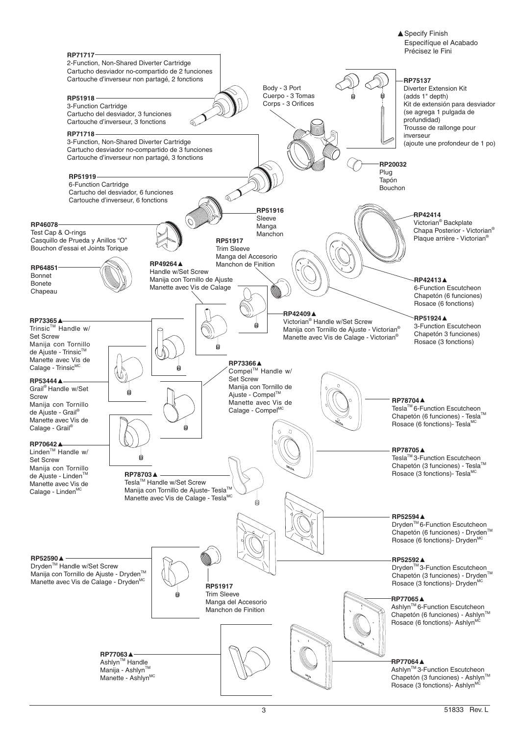